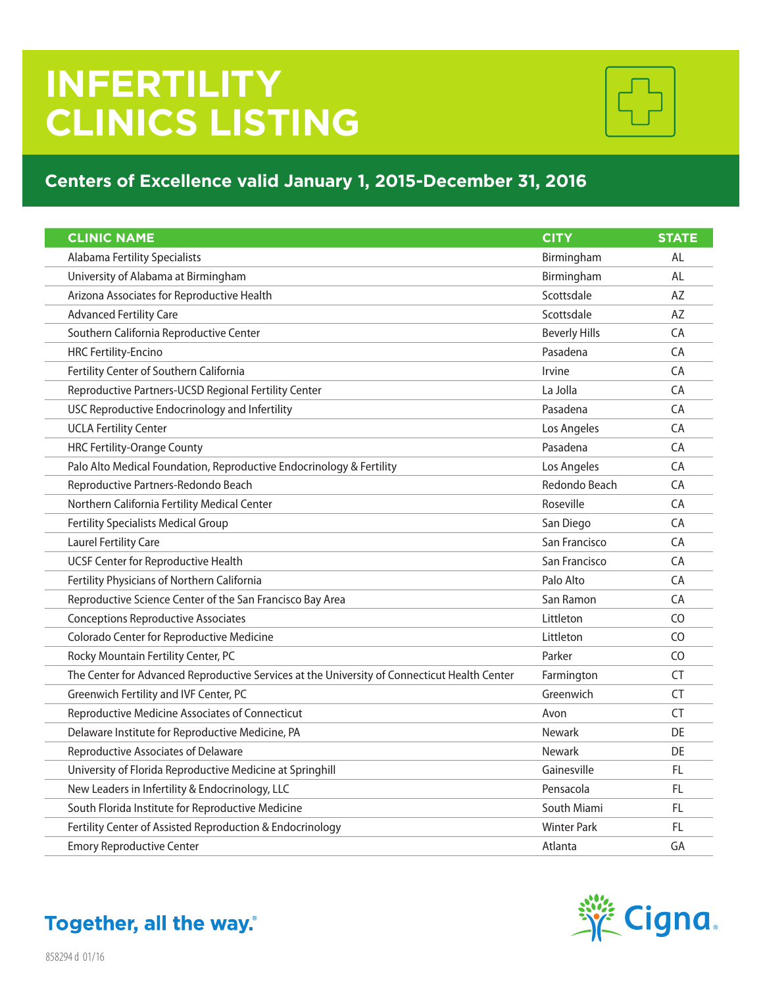## **INFERTILITY CLINICS LISTING**



## **Centers of Excellence valid January 1, 2015-December 31, 2016**

| <b>CLINIC NAME</b>                                                                           | <b>CITY</b>          | <b>STATE</b>   |
|----------------------------------------------------------------------------------------------|----------------------|----------------|
| <b>Alabama Fertility Specialists</b>                                                         | Birmingham           | AL             |
| University of Alabama at Birmingham                                                          | Birmingham           | AL             |
| Arizona Associates for Reproductive Health                                                   | Scottsdale           | AZ             |
| <b>Advanced Fertility Care</b>                                                               | Scottsdale           | AZ             |
| Southern California Reproductive Center                                                      | <b>Beverly Hills</b> | CA             |
| <b>HRC Fertility-Encino</b>                                                                  | Pasadena             | CA             |
| Fertility Center of Southern California                                                      | Irvine               | CA             |
| Reproductive Partners-UCSD Regional Fertility Center                                         | La Jolla             | CA             |
| USC Reproductive Endocrinology and Infertility                                               | Pasadena             | CA             |
| <b>UCLA Fertility Center</b>                                                                 | Los Angeles          | CA             |
| <b>HRC Fertility-Orange County</b>                                                           | Pasadena             | CA             |
| Palo Alto Medical Foundation, Reproductive Endocrinology & Fertility                         | Los Angeles          | CA             |
| Reproductive Partners-Redondo Beach                                                          | Redondo Beach        | CA             |
| Northern California Fertility Medical Center                                                 | Roseville            | CA             |
| <b>Fertility Specialists Medical Group</b>                                                   | San Diego            | CA             |
| <b>Laurel Fertility Care</b>                                                                 | San Francisco        | CA             |
| <b>UCSF Center for Reproductive Health</b>                                                   | San Francisco        | CA             |
| Fertility Physicians of Northern California                                                  | Palo Alto            | CA             |
| Reproductive Science Center of the San Francisco Bay Area                                    | San Ramon            | CA             |
| <b>Conceptions Reproductive Associates</b>                                                   | Littleton            | CO             |
| Colorado Center for Reproductive Medicine                                                    | Littleton            | C <sub>O</sub> |
| Rocky Mountain Fertility Center, PC                                                          | Parker               | CO             |
| The Center for Advanced Reproductive Services at the University of Connecticut Health Center | Farmington           | CT             |
| Greenwich Fertility and IVF Center, PC                                                       | Greenwich            | <b>CT</b>      |
| Reproductive Medicine Associates of Connecticut                                              | Avon                 | <b>CT</b>      |
| Delaware Institute for Reproductive Medicine, PA                                             | <b>Newark</b>        | DE             |
| Reproductive Associates of Delaware                                                          | <b>Newark</b>        | DE             |
| University of Florida Reproductive Medicine at Springhill                                    | Gainesville          | <b>FL</b>      |
| New Leaders in Infertility & Endocrinology, LLC                                              | Pensacola            | FL             |
| South Florida Institute for Reproductive Medicine                                            | South Miami          | <b>FL</b>      |
| Fertility Center of Assisted Reproduction & Endocrinology                                    | <b>Winter Park</b>   | FL.            |
| <b>Emory Reproductive Center</b>                                                             | Atlanta              | GA             |



Together, all the way.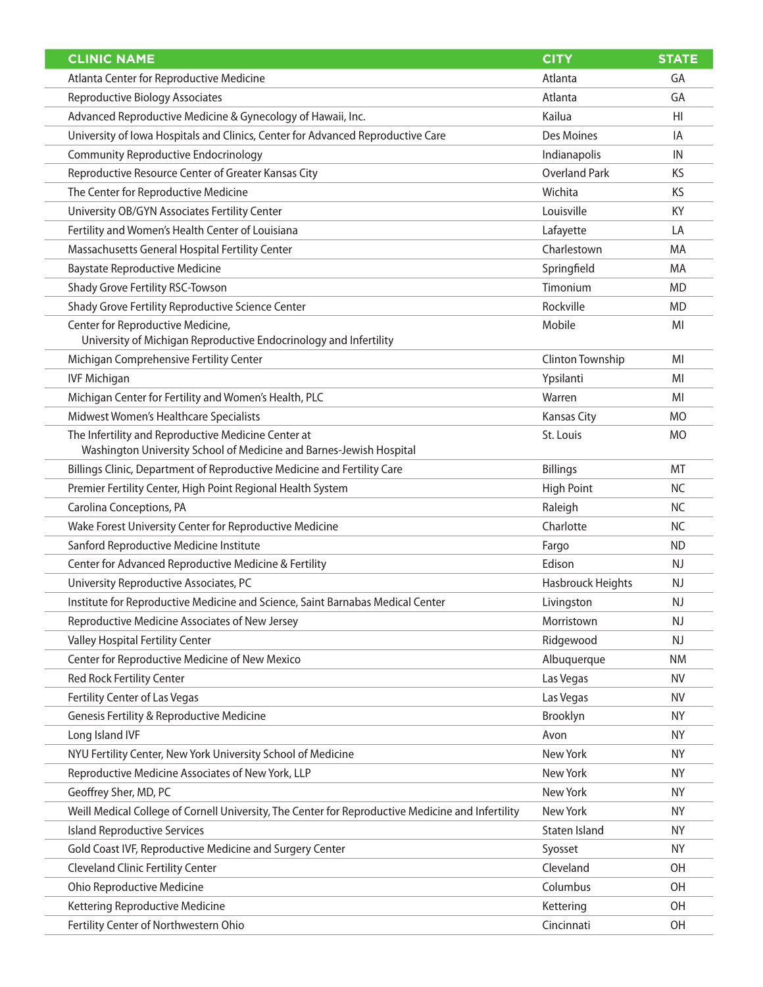| <b>CLINIC NAME</b>                                                                                     | <b>CITY</b>          | <b>STATE</b> |
|--------------------------------------------------------------------------------------------------------|----------------------|--------------|
| Atlanta Center for Reproductive Medicine                                                               | Atlanta              | GA           |
| <b>Reproductive Biology Associates</b>                                                                 | Atlanta              | GA           |
| Advanced Reproductive Medicine & Gynecology of Hawaii, Inc.                                            | Kailua               | HI           |
| University of Iowa Hospitals and Clinics, Center for Advanced Reproductive Care                        | Des Moines           | IA           |
| <b>Community Reproductive Endocrinology</b>                                                            | Indianapolis         | IN           |
| Reproductive Resource Center of Greater Kansas City                                                    | <b>Overland Park</b> | KS           |
| The Center for Reproductive Medicine                                                                   | Wichita              | KS           |
| University OB/GYN Associates Fertility Center                                                          | Louisville           | KY           |
| Fertility and Women's Health Center of Louisiana                                                       | Lafayette            | LA           |
| Massachusetts General Hospital Fertility Center                                                        | Charlestown          | MA           |
| <b>Baystate Reproductive Medicine</b>                                                                  | Springfield          | MA           |
| Shady Grove Fertility RSC-Towson                                                                       | Timonium             | <b>MD</b>    |
| Shady Grove Fertility Reproductive Science Center                                                      | Rockville            | <b>MD</b>    |
| Center for Reproductive Medicine,<br>University of Michigan Reproductive Endocrinology and Infertility | Mobile               | MI           |
| Michigan Comprehensive Fertility Center                                                                | Clinton Township     | MI           |
| <b>IVF Michigan</b>                                                                                    | Ypsilanti            | MI           |
| Michigan Center for Fertility and Women's Health, PLC                                                  | Warren               | MI           |
| Midwest Women's Healthcare Specialists                                                                 | <b>Kansas City</b>   | <b>MO</b>    |
| The Infertility and Reproductive Medicine Center at                                                    | St. Louis            | <b>MO</b>    |
| Washington University School of Medicine and Barnes-Jewish Hospital                                    |                      |              |
| Billings Clinic, Department of Reproductive Medicine and Fertility Care                                | <b>Billings</b>      | MT           |
| Premier Fertility Center, High Point Regional Health System                                            | <b>High Point</b>    | <b>NC</b>    |
| Carolina Conceptions, PA                                                                               | Raleigh              | <b>NC</b>    |
| Wake Forest University Center for Reproductive Medicine                                                | Charlotte            | <b>NC</b>    |
| Sanford Reproductive Medicine Institute                                                                | Fargo                | <b>ND</b>    |
| Center for Advanced Reproductive Medicine & Fertility                                                  | Edison               | NJ.          |
| University Reproductive Associates, PC                                                                 | Hasbrouck Heights    | <b>NJ</b>    |
| Institute for Reproductive Medicine and Science, Saint Barnabas Medical Center                         | Livingston           | NJ           |
| Reproductive Medicine Associates of New Jersey                                                         | Morristown           | NJ           |
| <b>Valley Hospital Fertility Center</b>                                                                | Ridgewood            | NJ           |
| Center for Reproductive Medicine of New Mexico                                                         | Albuquerque          | <b>NM</b>    |
| <b>Red Rock Fertility Center</b>                                                                       | Las Vegas            | <b>NV</b>    |
| Fertility Center of Las Vegas                                                                          | Las Vegas            | <b>NV</b>    |
| Genesis Fertility & Reproductive Medicine                                                              | Brooklyn             | <b>NY</b>    |
| Long Island IVF                                                                                        | Avon                 | ΝY           |
| NYU Fertility Center, New York University School of Medicine                                           | New York             | <b>NY</b>    |
| Reproductive Medicine Associates of New York, LLP                                                      | New York             | <b>NY</b>    |
| Geoffrey Sher, MD, PC                                                                                  | New York             | ΝY           |
| Weill Medical College of Cornell University, The Center for Reproductive Medicine and Infertility      | New York             | NY.          |
| <b>Island Reproductive Services</b>                                                                    | Staten Island        | <b>NY</b>    |
| Gold Coast IVF, Reproductive Medicine and Surgery Center                                               | Syosset              | NY.          |
| <b>Cleveland Clinic Fertility Center</b>                                                               | Cleveland            | <b>OH</b>    |
| <b>Ohio Reproductive Medicine</b>                                                                      | Columbus             | 0H           |
| Kettering Reproductive Medicine                                                                        | Kettering            | <b>OH</b>    |
| Fertility Center of Northwestern Ohio                                                                  | Cincinnati           | <b>OH</b>    |